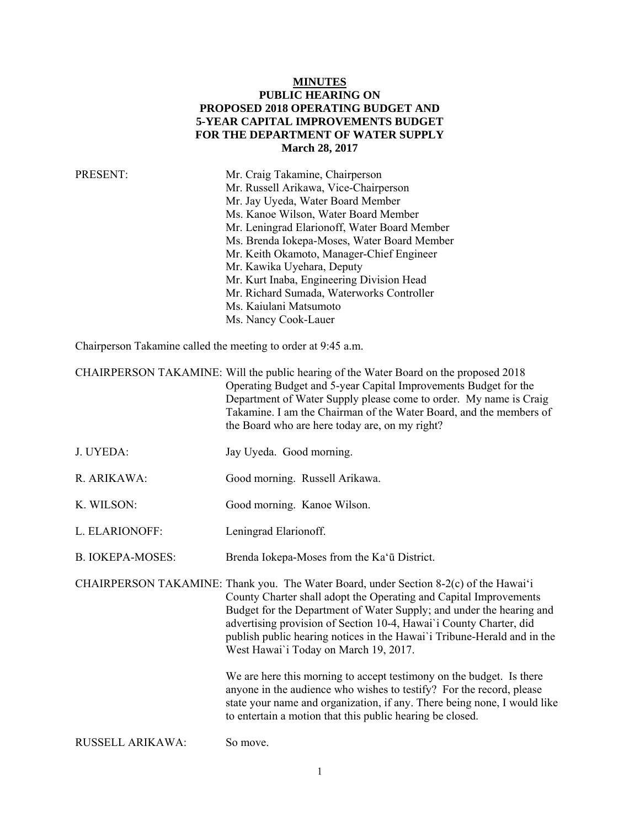## **MINUTES PUBLIC HEARING ON PROPOSED 2018 OPERATING BUDGET AND 5-YEAR CAPITAL IMPROVEMENTS BUDGET FOR THE DEPARTMENT OF WATER SUPPLY March 28, 2017**

| PRESENT: | Mr. Craig Takamine, Chairperson              |
|----------|----------------------------------------------|
|          | Mr. Russell Arikawa, Vice-Chairperson        |
|          | Mr. Jay Uyeda, Water Board Member            |
|          | Ms. Kanoe Wilson, Water Board Member         |
|          | Mr. Leningrad Elarionoff, Water Board Member |
|          | Ms. Brenda Jokepa-Moses, Water Board Member  |
|          | Mr. Keith Okamoto, Manager-Chief Engineer    |
|          | Mr. Kawika Uyehara, Deputy                   |
|          | Mr. Kurt Inaba, Engineering Division Head    |
|          | Mr. Richard Sumada, Waterworks Controller    |
|          | Ms. Kaiulani Matsumoto                       |
|          | Ms. Nancy Cook-Lauer                         |

Chairperson Takamine called the meeting to order at 9:45 a.m.

|                         | CHAIRPERSON TAKAMINE: Will the public hearing of the Water Board on the proposed 2018<br>Operating Budget and 5-year Capital Improvements Budget for the<br>Department of Water Supply please come to order. My name is Craig<br>Takamine. I am the Chairman of the Water Board, and the members of<br>the Board who are here today are, on my right?                                                                        |
|-------------------------|------------------------------------------------------------------------------------------------------------------------------------------------------------------------------------------------------------------------------------------------------------------------------------------------------------------------------------------------------------------------------------------------------------------------------|
| J. UYEDA:               | Jay Uyeda. Good morning.                                                                                                                                                                                                                                                                                                                                                                                                     |
| R. ARIKAWA:             | Good morning. Russell Arikawa.                                                                                                                                                                                                                                                                                                                                                                                               |
| K. WILSON:              | Good morning. Kanoe Wilson.                                                                                                                                                                                                                                                                                                                                                                                                  |
| L. ELARIONOFF:          | Leningrad Elarionoff.                                                                                                                                                                                                                                                                                                                                                                                                        |
| <b>B. IOKEPA-MOSES:</b> | Brenda Iokepa-Moses from the Ka'ū District.                                                                                                                                                                                                                                                                                                                                                                                  |
|                         | CHAIRPERSON TAKAMINE: Thank you. The Water Board, under Section 8-2(c) of the Hawai'i<br>County Charter shall adopt the Operating and Capital Improvements<br>Budget for the Department of Water Supply; and under the hearing and<br>advertising provision of Section 10-4, Hawai'i County Charter, did<br>publish public hearing notices in the Hawai'i Tribune-Herald and in the<br>West Hawai'i Today on March 19, 2017. |
|                         | We are here this morning to accept testimony on the budget. Is there<br>anyone in the audience who wishes to testify? For the record, please<br>state your name and organization, if any. There being none, I would like<br>to entertain a motion that this public hearing be closed.                                                                                                                                        |
| <b>RUSSELL ARIKAWA:</b> | So move.                                                                                                                                                                                                                                                                                                                                                                                                                     |